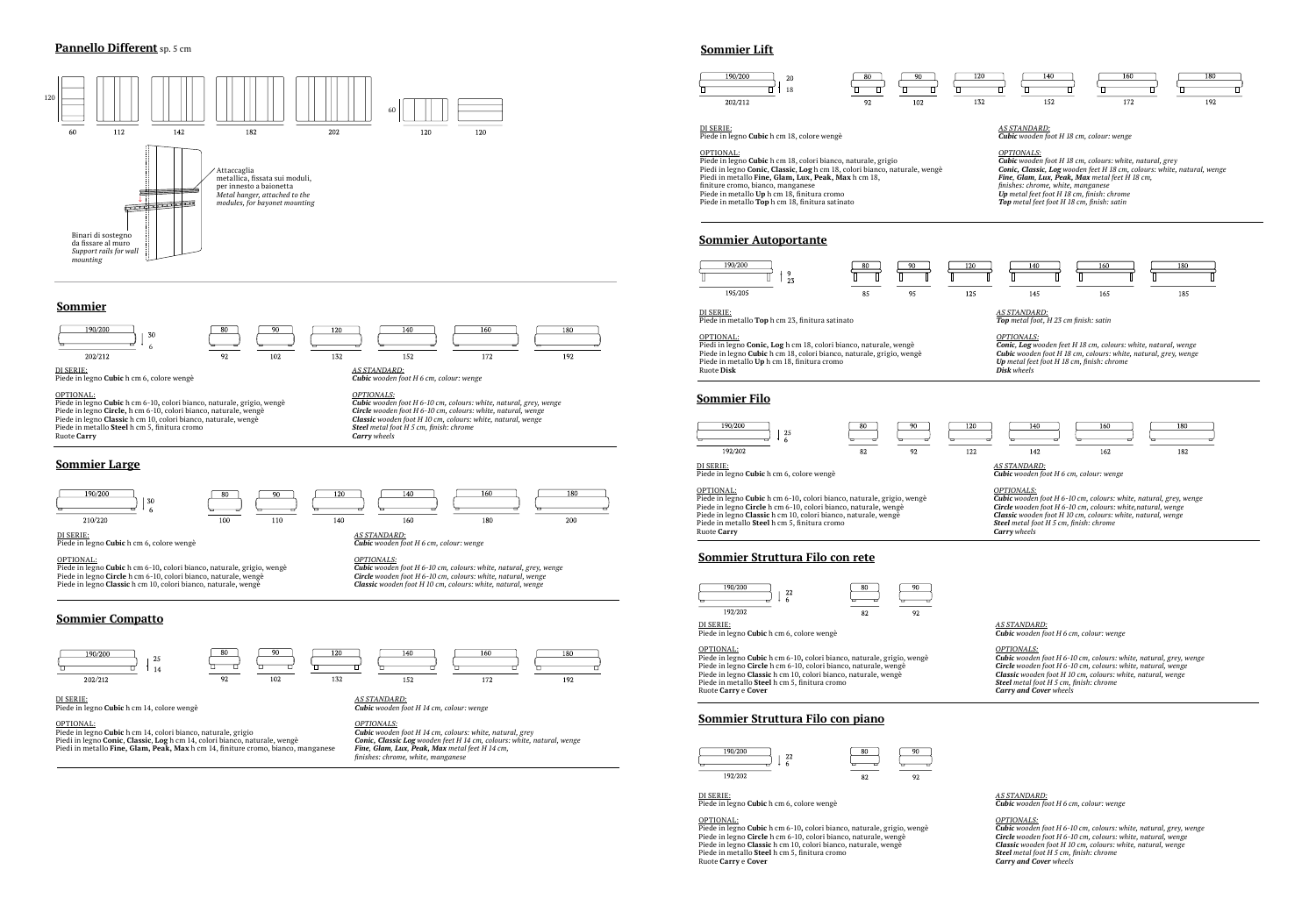## **Pannello Different** sp. 5 cm



## **Sommier Lift**

#### DI SERIE: Piede in legno **Cubic** h cm 18, colore wengè

OPTIONAL:

Piede in legno **Cubic** h cm 18, colori bianco, naturale, grigio Piedi in legno **Conic**, **Classic**, **Log** h cm 18, colori bianco, naturale, wengè Piedi in metallo **Fine, Glam, Lux, Peak, Max** h cm 18, finiture cromo, bianco, manganese Piede in metallo **Up** h cm 18, finitura cromo Piede in metallo **Top** h cm 18, finitura satinato

## *AS STANDARD:*

*Cubic wooden foot H 18 cm, colour: wenge*

*OPTIONALS: Cubic wooden foot H 18 cm, colours: white, natural, grey Conic, Classic, Log wooden feet H 18 cm, colours: white, natural, wenge Fine, Glam, Lux, Peak, Max metal feet H 18 cm, finishes: chrome, white, manganese Up metal feet foot H 18 cm, finish: chrome Top metal feet foot H 18 cm, finish: satin*



## **Sommier Autoportante**



DI SERIE:

Piede in metallo **Top** h cm 23, finitura satinato

OPTIONAL:

Piedi in legno **Conic, Log** h cm 18, colori bianco, naturale, wengè Piede in legno **Cubic** h cm 18, colori bianco, naturale, grigio, wengè Piede in metallo **Up** h cm 18, finitura cromo Ruote **Disk**

*AS STANDARD: Top metal foot, H 23 cm finish: satin*

*OPTIONALS: Conic, Log wooden feet H 18 cm, colours: white, natural, wenge Cubic wooden foot H 18 cm, colours: white, natural, grey, wenge Up metal feet foot H 18 cm, finish: chrome Disk wheels*

## **Sommier Filo**



DI SERIE:

## Piede in legno **Cubic** h cm 6, colore wengè

#### OPTIONAL:

Piede in legno **Cubic** h cm 6-10**,** colori bianco, naturale, grigio, wengè Piede in legno **Circle** h cm 6-10, colori bianco, naturale, wengè Piede in legno **Classic** h cm 10, colori bianco, naturale, wengè Piede in metallo **Steel** h cm 5, finitura cromo Ruote **Carry**



*Carry wheels*



## **Sommier Struttura Filo con rete**



DI SERIE: Piede in legno **Cubic** h cm 6, colore wengè

### OPTIONAL:

Piede in legno **Cubic** h cm 6-10**,** colori bianco, naturale, grigio, wengè Piede in legno **Circle** h cm 6-10, colori bianco, naturale, wengè Piede in legno **Classic** h cm 10, colori bianco, naturale, wengè Piede in metallo **Steel** h cm 5, finitura cromo Ruote **Carry** e **Cover**

*AS STANDARD: Cubic wooden foot H 6 cm, colour: wenge*

*OPTIONALS: Cubic wooden foot H 6-10 cm, colours: white, natural, grey, wenge Circle wooden foot H 6-10 cm, colours: white, natural, wenge Classic wooden foot H 10 cm, colours: white, natural, wenge Steel metal foot H 5 cm, finish: chrome Carry and Cover wheels*



# **Sommier Struttura Filo con piano**

| 190/200 | 22 |  |
|---------|----|--|
| 192/202 |    |  |

DI SERIE: Piede in legno **Cubic** h cm 6, colore wengè

## OPTIONAL:

Piede in legno **Cubic** h cm 6-10**,** colori bianco, naturale, grigio, wengè Piede in legno **Circle** h cm 6-10, colori bianco, naturale, wengè Piede in legno **Classic** h cm 10, colori bianco, naturale, wengè Piede in metallo **Steel** h cm 5, finitura cromo Ruote **Carry** e **Cover**



*AS STANDARD: Cubic wooden foot H 6 cm, colour: wenge*

*OPTIONALS: Cubic wooden foot H 6-10 cm, colours: white, natural, grey, wenge Circle wooden foot H 6-10 cm, colours: white, natural, wenge Classic wooden foot H 10 cm, colours: white, natural, wenge Steel metal foot H 5 cm, finish: chrome Carry and Cover wheels*